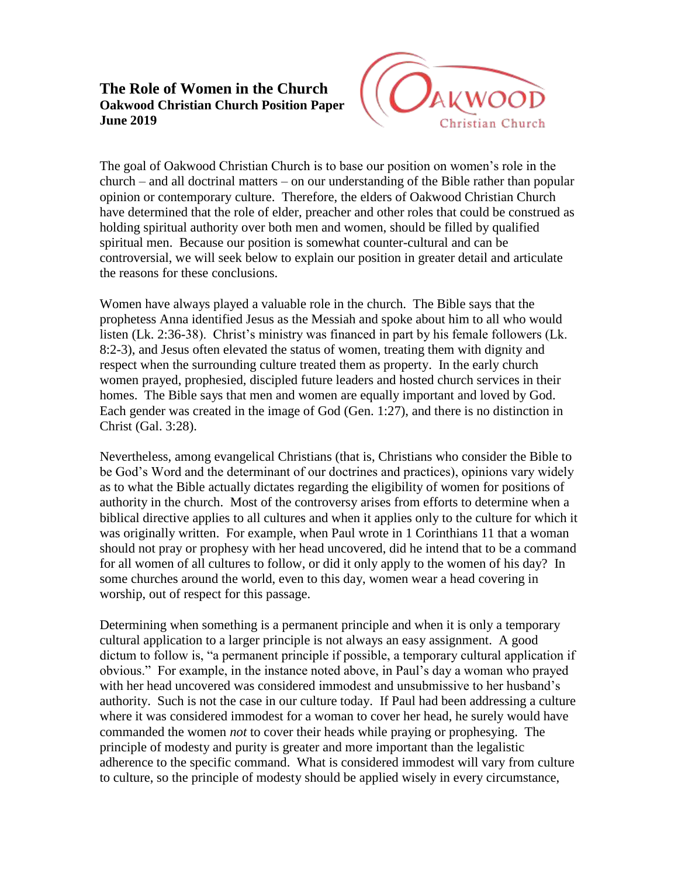## **The Role of Women in the Church Oakwood Christian Church Position Paper June 2019**



The goal of Oakwood Christian Church is to base our position on women's role in the church – and all doctrinal matters – on our understanding of the Bible rather than popular opinion or contemporary culture. Therefore, the elders of Oakwood Christian Church have determined that the role of elder, preacher and other roles that could be construed as holding spiritual authority over both men and women, should be filled by qualified spiritual men. Because our position is somewhat counter-cultural and can be controversial, we will seek below to explain our position in greater detail and articulate the reasons for these conclusions.

Women have always played a valuable role in the church. The Bible says that the prophetess Anna identified Jesus as the Messiah and spoke about him to all who would listen (Lk. 2:36-38). Christ's ministry was financed in part by his female followers (Lk. 8:2-3), and Jesus often elevated the status of women, treating them with dignity and respect when the surrounding culture treated them as property. In the early church women prayed, prophesied, discipled future leaders and hosted church services in their homes. The Bible says that men and women are equally important and loved by God. Each gender was created in the image of God (Gen. 1:27), and there is no distinction in Christ (Gal. 3:28).

Nevertheless, among evangelical Christians (that is, Christians who consider the Bible to be God's Word and the determinant of our doctrines and practices), opinions vary widely as to what the Bible actually dictates regarding the eligibility of women for positions of authority in the church. Most of the controversy arises from efforts to determine when a biblical directive applies to all cultures and when it applies only to the culture for which it was originally written. For example, when Paul wrote in 1 Corinthians 11 that a woman should not pray or prophesy with her head uncovered, did he intend that to be a command for all women of all cultures to follow, or did it only apply to the women of his day? In some churches around the world, even to this day, women wear a head covering in worship, out of respect for this passage.

Determining when something is a permanent principle and when it is only a temporary cultural application to a larger principle is not always an easy assignment. A good dictum to follow is, "a permanent principle if possible, a temporary cultural application if obvious." For example, in the instance noted above, in Paul's day a woman who prayed with her head uncovered was considered immodest and unsubmissive to her husband's authority. Such is not the case in our culture today. If Paul had been addressing a culture where it was considered immodest for a woman to cover her head, he surely would have commanded the women *not* to cover their heads while praying or prophesying. The principle of modesty and purity is greater and more important than the legalistic adherence to the specific command. What is considered immodest will vary from culture to culture, so the principle of modesty should be applied wisely in every circumstance,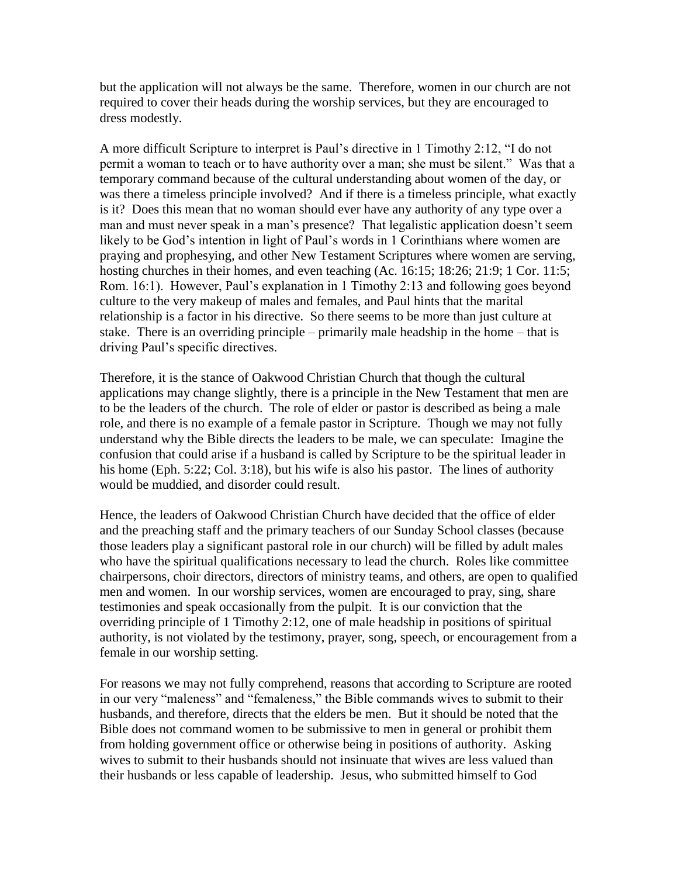but the application will not always be the same. Therefore, women in our church are not required to cover their heads during the worship services, but they are encouraged to dress modestly.

A more difficult Scripture to interpret is Paul's directive in 1 Timothy 2:12, "I do not permit a woman to teach or to have authority over a man; she must be silent." Was that a temporary command because of the cultural understanding about women of the day, or was there a timeless principle involved? And if there is a timeless principle, what exactly is it? Does this mean that no woman should ever have any authority of any type over a man and must never speak in a man's presence? That legalistic application doesn't seem likely to be God's intention in light of Paul's words in 1 Corinthians where women are praying and prophesying, and other New Testament Scriptures where women are serving, hosting churches in their homes, and even teaching (Ac. 16:15; 18:26; 21:9; 1 Cor. 11:5; Rom. 16:1). However, Paul's explanation in 1 Timothy 2:13 and following goes beyond culture to the very makeup of males and females, and Paul hints that the marital relationship is a factor in his directive. So there seems to be more than just culture at stake. There is an overriding principle – primarily male headship in the home – that is driving Paul's specific directives.

Therefore, it is the stance of Oakwood Christian Church that though the cultural applications may change slightly, there is a principle in the New Testament that men are to be the leaders of the church. The role of elder or pastor is described as being a male role, and there is no example of a female pastor in Scripture. Though we may not fully understand why the Bible directs the leaders to be male, we can speculate: Imagine the confusion that could arise if a husband is called by Scripture to be the spiritual leader in his home (Eph. 5:22; Col. 3:18), but his wife is also his pastor. The lines of authority would be muddied, and disorder could result.

Hence, the leaders of Oakwood Christian Church have decided that the office of elder and the preaching staff and the primary teachers of our Sunday School classes (because those leaders play a significant pastoral role in our church) will be filled by adult males who have the spiritual qualifications necessary to lead the church. Roles like committee chairpersons, choir directors, directors of ministry teams, and others, are open to qualified men and women. In our worship services, women are encouraged to pray, sing, share testimonies and speak occasionally from the pulpit. It is our conviction that the overriding principle of 1 Timothy 2:12, one of male headship in positions of spiritual authority, is not violated by the testimony, prayer, song, speech, or encouragement from a female in our worship setting.

For reasons we may not fully comprehend, reasons that according to Scripture are rooted in our very "maleness" and "femaleness," the Bible commands wives to submit to their husbands, and therefore, directs that the elders be men. But it should be noted that the Bible does not command women to be submissive to men in general or prohibit them from holding government office or otherwise being in positions of authority. Asking wives to submit to their husbands should not insinuate that wives are less valued than their husbands or less capable of leadership. Jesus, who submitted himself to God